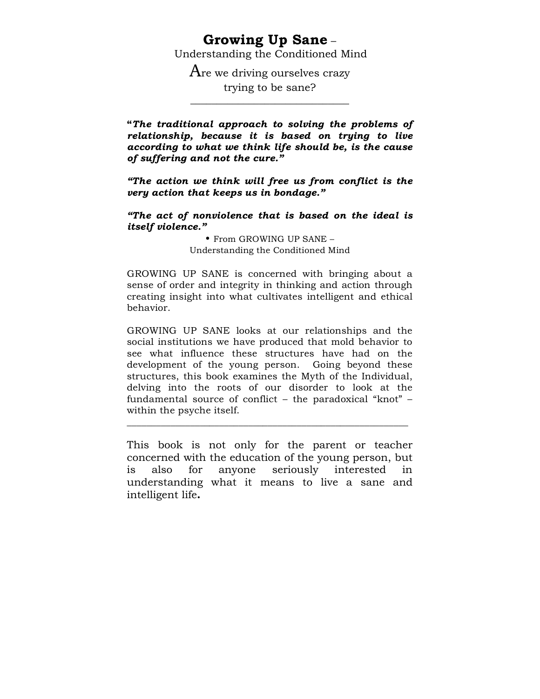# **Growing Up Sane** –

Understanding the Conditioned Mind

Are we driving ourselves crazy trying to be sane?

 $\overline{\phantom{a}}$  , where  $\overline{\phantom{a}}$  , where  $\overline{\phantom{a}}$  ,  $\overline{\phantom{a}}$  ,  $\overline{\phantom{a}}$  ,  $\overline{\phantom{a}}$  ,  $\overline{\phantom{a}}$  ,  $\overline{\phantom{a}}$  ,  $\overline{\phantom{a}}$  ,  $\overline{\phantom{a}}$  ,  $\overline{\phantom{a}}$  ,  $\overline{\phantom{a}}$  ,  $\overline{\phantom{a}}$  ,  $\overline{\phantom{a}}$  ,  $\overline{\phantom{a}}$  ,

**"***The traditional approach to solving the problems of relationship, because it is based on trying to live according to what we think life should be, is the cause of suffering and not the cure."*

*"The action we think will free us from conflict is the very action that keeps us in bondage."*

*"The act of nonviolence that is based on the ideal is itself violence."*

> • From GROWING UP SANE – Understanding the Conditioned Mind

GROWING UP SANE is concerned with bringing about a sense of order and integrity in thinking and action through creating insight into what cultivates intelligent and ethical behavior.

GROWING UP SANE looks at our relationships and the social institutions we have produced that mold behavior to see what influence these structures have had on the development of the young person. Going beyond these structures, this book examines the Myth of the Individual, delving into the roots of our disorder to look at the fundamental source of conflict – the paradoxical "knot" – within the psyche itself.

This book is not only for the parent or teacher concerned with the education of the young person, but is also for anyone seriously interested in understanding what it means to live a sane and intelligent life**.**

\_\_\_\_\_\_\_\_\_\_\_\_\_\_\_\_\_\_\_\_\_\_\_\_\_\_\_\_\_\_\_\_\_\_\_\_\_\_\_\_\_\_\_\_\_\_\_\_\_\_\_\_\_\_\_\_\_\_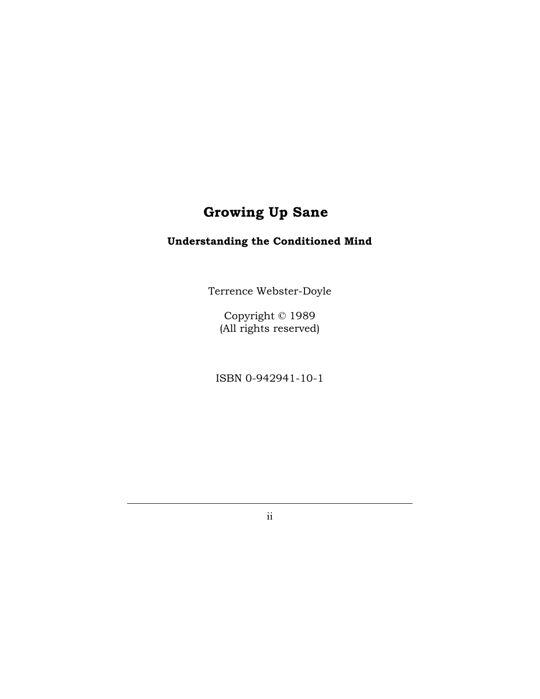# **Growing Up Sane**

## **Understanding the Conditioned Mind**

Terrence Webster-Doyle

Copyright © 1989 (All rights reserved)

ISBN 0-942941-10-1

ii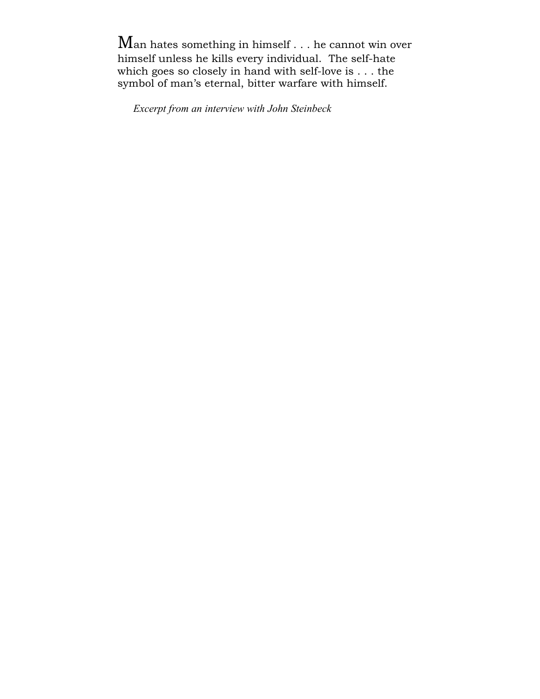$M$ an hates something in himself . . . he cannot win over himself unless he kills every individual. The self-hate which goes so closely in hand with self-love is . . . the symbol of man's eternal, bitter warfare with himself.

*Excerpt from an interview with John Steinbeck*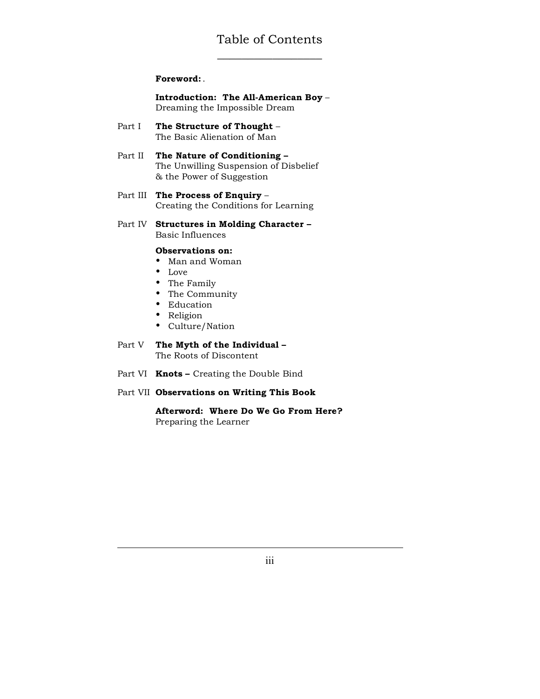## Table of Contents \_\_\_\_\_\_\_\_\_\_\_\_\_\_\_\_\_

#### **Foreword:**.

**Introduction: The All-American Boy** – Dreaming the Impossible Dream

- Part I **The Structure of Thought**  The Basic Alienation of Man
- Part II **The Nature of Conditioning –** The Unwilling Suspension of Disbelief & the Power of Suggestion
- Part III **The Process of Enquiry**  Creating the Conditions for Learning
- Part IV **Structures in Molding Character –** Basic Influences

#### **Observations on:**

- Man and Woman
- Love
- The Family
- The Community
- Education
- Religion
- Culture/Nation

### Part V **The Myth of the Individual –**

The Roots of Discontent

Part VI **Knots -** Creating the Double Bind

#### Part VII **Observations on Writing This Book**

#### **Afterword: Where Do We Go From Here?** Preparing the Learner

iii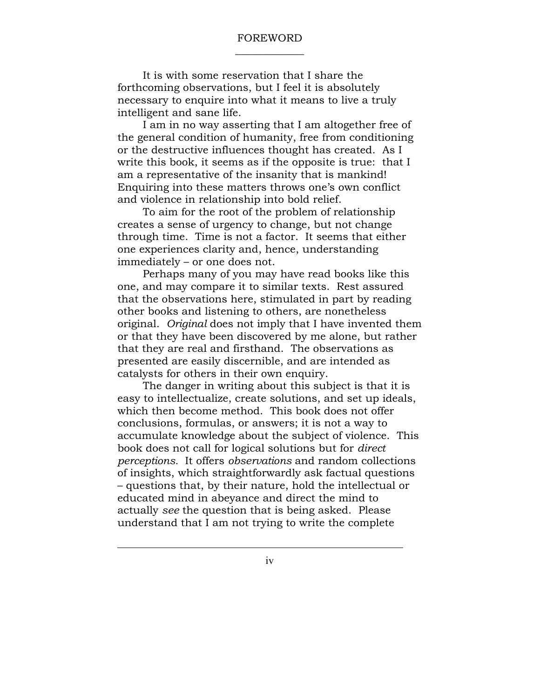## FOREWORD  $\overline{\phantom{a}}$  , where  $\overline{\phantom{a}}$

It is with some reservation that I share the forthcoming observations, but I feel it is absolutely necessary to enquire into what it means to live a truly intelligent and sane life.

I am in no way asserting that I am altogether free of the general condition of humanity, free from conditioning or the destructive influences thought has created. As I write this book, it seems as if the opposite is true: that I am a representative of the insanity that is mankind! Enquiring into these matters throws one's own conflict and violence in relationship into bold relief.

To aim for the root of the problem of relationship creates a sense of urgency to change, but not change through time. Time is not a factor. It seems that either one experiences clarity and, hence, understanding immediately – or one does not.

Perhaps many of you may have read books like this one, and may compare it to similar texts. Rest assured that the observations here, stimulated in part by reading other books and listening to others, are nonetheless original. *Original* does not imply that I have invented them or that they have been discovered by me alone, but rather that they are real and firsthand. The observations as presented are easily discernible, and are intended as catalysts for others in their own enquiry.

The danger in writing about this subject is that it is easy to intellectualize, create solutions, and set up ideals, which then become method. This book does not offer conclusions, formulas, or answers; it is not a way to accumulate knowledge about the subject of violence. This book does not call for logical solutions but for *direct perceptions.* It offers *observations* and random collections of insights, which straightforwardly ask factual questions – questions that, by their nature, hold the intellectual or educated mind in abeyance and direct the mind to actually *see* the question that is being asked. Please understand that I am not trying to write the complete

iv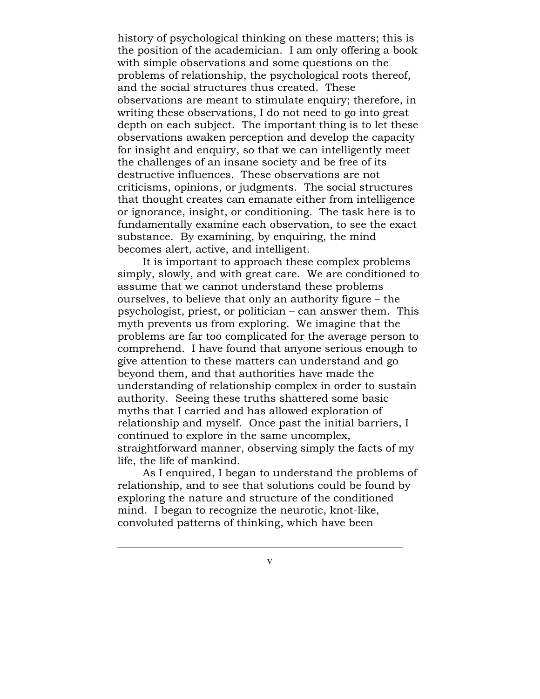history of psychological thinking on these matters; this is the position of the academician. I am only offering a book with simple observations and some questions on the problems of relationship, the psychological roots thereof, and the social structures thus created. These observations are meant to stimulate enquiry; therefore, in writing these observations, I do not need to go into great depth on each subject. The important thing is to let these observations awaken perception and develop the capacity for insight and enquiry, so that we can intelligently meet the challenges of an insane society and be free of its destructive influences. These observations are not criticisms, opinions, or judgments. The social structures that thought creates can emanate either from intelligence or ignorance, insight, or conditioning. The task here is to fundamentally examine each observation, to see the exact substance. By examining, by enquiring, the mind becomes alert, active, and intelligent.

It is important to approach these complex problems simply, slowly, and with great care. We are conditioned to assume that we cannot understand these problems ourselves, to believe that only an authority figure – the psychologist, priest, or politician – can answer them. This myth prevents us from exploring. We imagine that the problems are far too complicated for the average person to comprehend. I have found that anyone serious enough to give attention to these matters can understand and go beyond them, and that authorities have made the understanding of relationship complex in order to sustain authority. Seeing these truths shattered some basic myths that I carried and has allowed exploration of relationship and myself. Once past the initial barriers, I continued to explore in the same uncomplex, straightforward manner, observing simply the facts of my life, the life of mankind.

As I enquired, I began to understand the problems of relationship, and to see that solutions could be found by exploring the nature and structure of the conditioned mind. I began to recognize the neurotic, knot-like, convoluted patterns of thinking, which have been

v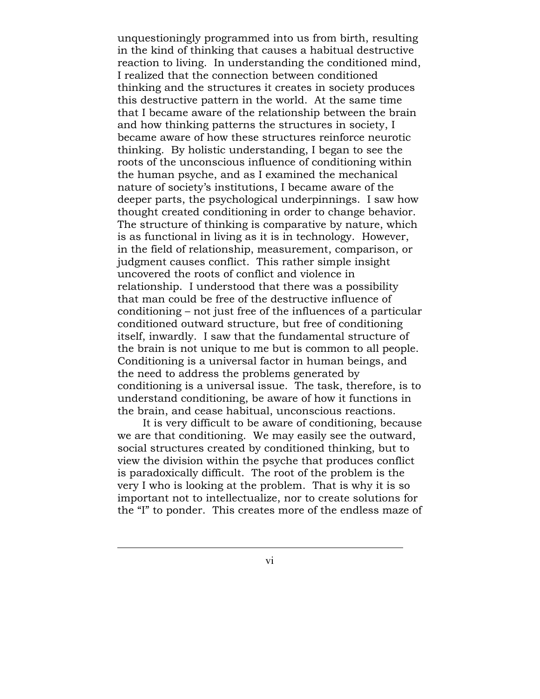unquestioningly programmed into us from birth, resulting in the kind of thinking that causes a habitual destructive reaction to living. In understanding the conditioned mind, I realized that the connection between conditioned thinking and the structures it creates in society produces this destructive pattern in the world. At the same time that I became aware of the relationship between the brain and how thinking patterns the structures in society, I became aware of how these structures reinforce neurotic thinking. By holistic understanding, I began to see the roots of the unconscious influence of conditioning within the human psyche, and as I examined the mechanical nature of society's institutions, I became aware of the deeper parts, the psychological underpinnings. I saw how thought created conditioning in order to change behavior. The structure of thinking is comparative by nature, which is as functional in living as it is in technology. However, in the field of relationship, measurement, comparison, or judgment causes conflict. This rather simple insight uncovered the roots of conflict and violence in relationship. I understood that there was a possibility that man could be free of the destructive influence of conditioning – not just free of the influences of a particular conditioned outward structure, but free of conditioning itself, inwardly. I saw that the fundamental structure of the brain is not unique to me but is common to all people. Conditioning is a universal factor in human beings, and the need to address the problems generated by conditioning is a universal issue. The task, therefore, is to understand conditioning, be aware of how it functions in the brain, and cease habitual, unconscious reactions.

It is very difficult to be aware of conditioning, because we are that conditioning. We may easily see the outward, social structures created by conditioned thinking, but to view the division within the psyche that produces conflict is paradoxically difficult. The root of the problem is the very I who is looking at the problem. That is why it is so important not to intellectualize, nor to create solutions for the "I" to ponder. This creates more of the endless maze of

vi